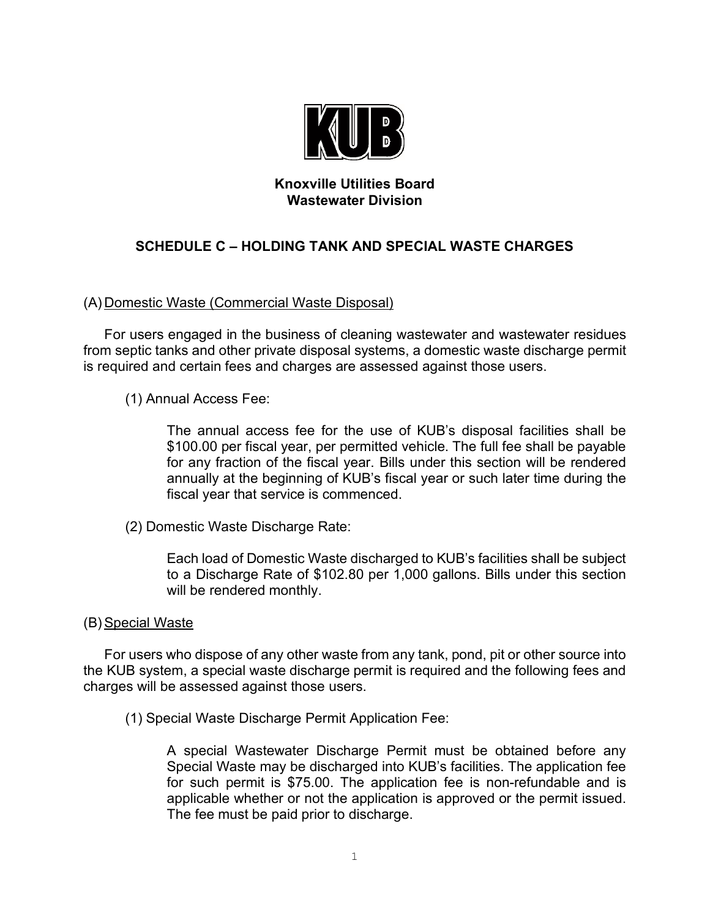

## **Knoxville Utilities Board Wastewater Division**

# **SCHEDULE C – HOLDING TANK AND SPECIAL WASTE CHARGES**

## (A) Domestic Waste (Commercial Waste Disposal)

For users engaged in the business of cleaning wastewater and wastewater residues from septic tanks and other private disposal systems, a domestic waste discharge permit is required and certain fees and charges are assessed against those users.

(1) Annual Access Fee:

The annual access fee for the use of KUB's disposal facilities shall be \$100.00 per fiscal year, per permitted vehicle. The full fee shall be payable for any fraction of the fiscal year. Bills under this section will be rendered annually at the beginning of KUB's fiscal year or such later time during the fiscal year that service is commenced.

(2) Domestic Waste Discharge Rate:

Each load of Domestic Waste discharged to KUB's facilities shall be subject to a Discharge Rate of \$102.80 per 1,000 gallons. Bills under this section will be rendered monthly.

#### (B) Special Waste

For users who dispose of any other waste from any tank, pond, pit or other source into the KUB system, a special waste discharge permit is required and the following fees and charges will be assessed against those users.

(1) Special Waste Discharge Permit Application Fee:

A special Wastewater Discharge Permit must be obtained before any Special Waste may be discharged into KUB's facilities. The application fee for such permit is \$75.00. The application fee is non-refundable and is applicable whether or not the application is approved or the permit issued. The fee must be paid prior to discharge.